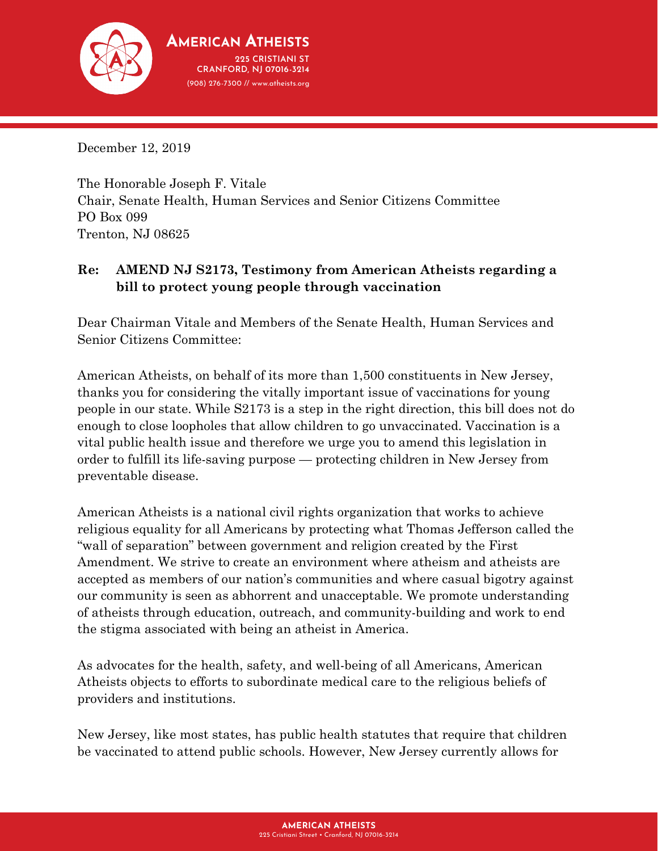

December 12, 2019

The Honorable Joseph F. Vitale Chair, Senate Health, Human Services and Senior Citizens Committee PO Box 099 Trenton, NJ 08625

## **Re: AMEND NJ S2173, Testimony from American Atheists regarding a bill to protect young people through vaccination**

Dear Chairman Vitale and Members of the Senate Health, Human Services and Senior Citizens Committee:

American Atheists, on behalf of its more than 1,500 constituents in New Jersey, thanks you for considering the vitally important issue of vaccinations for young people in our state. While S2173 is a step in the right direction, this bill does not do enough to close loopholes that allow children to go unvaccinated. Vaccination is a vital public health issue and therefore we urge you to amend this legislation in order to fulfill its life-saving purpose — protecting children in New Jersey from preventable disease.

American Atheists is a national civil rights organization that works to achieve religious equality for all Americans by protecting what Thomas Jefferson called the "wall of separation" between government and religion created by the First Amendment. We strive to create an environment where atheism and atheists are accepted as members of our nation's communities and where casual bigotry against our community is seen as abhorrent and unacceptable. We promote understanding of atheists through education, outreach, and community-building and work to end the stigma associated with being an atheist in America.

As advocates for the health, safety, and well-being of all Americans, American Atheists objects to efforts to subordinate medical care to the religious beliefs of providers and institutions.

New Jersey, like most states, has public health statutes that require that children be vaccinated to attend public schools. However, New Jersey currently allows for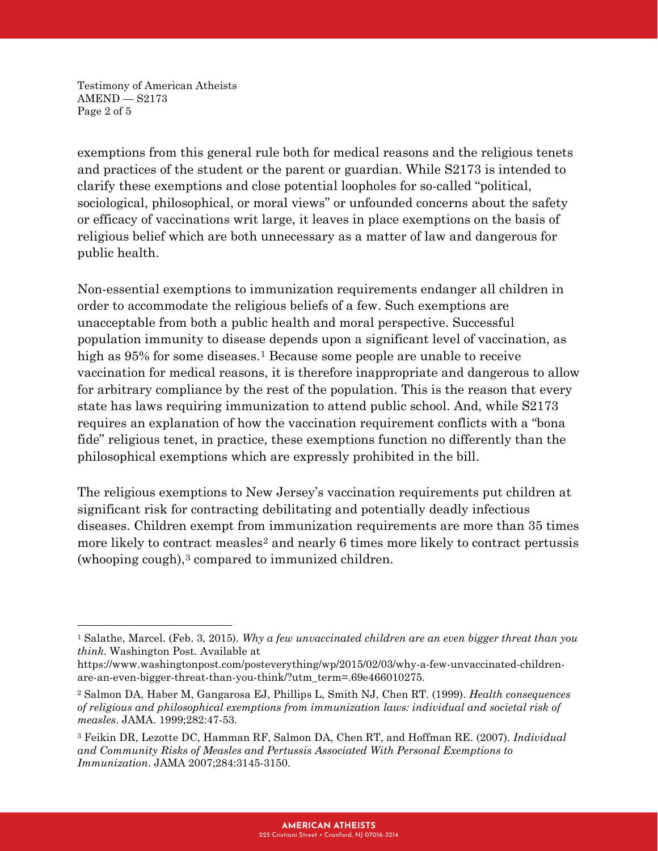Testimony of American Atheists AMEND — S2173 Page 2 of 5

 $\overline{a}$ 

exemptions from this general rule both for medical reasons and the religious tenets and practices of the student or the parent or guardian. While S2173 is intended to clarify these exemptions and close potential loopholes for so-called "political, sociological, philosophical, or moral views" or unfounded concerns about the safety or efficacy of vaccinations writ large, it leaves in place exemptions on the basis of religious belief which are both unnecessary as a matter of law and dangerous for public health.

Non-essential exemptions to immunization requirements endanger all children in order to accommodate the religious beliefs of a few. Such exemptions are unacceptable from both a public health and moral perspective. Successful population immunity to disease depends upon a significant level of vaccination, as high as 95% for some diseases.<sup>[1](#page-1-0)</sup> Because some people are unable to receive vaccination for medical reasons, it is therefore inappropriate and dangerous to allow for arbitrary compliance by the rest of the population. This is the reason that every state has laws requiring immunization to attend public school. And, while S2173 requires an explanation of how the vaccination requirement conflicts with a "bona fide" religious tenet, in practice, these exemptions function no differently than the philosophical exemptions which are expressly prohibited in the bill.

The religious exemptions to New Jersey's vaccination requirements put children at significant risk for contracting debilitating and potentially deadly infectious diseases. Children exempt from immunization requirements are more than 35 times more likely to contract measles<sup>[2](#page-1-1)</sup> and nearly 6 times more likely to contract pertussis (whooping cough), $3$  compared to immunized children.

<span id="page-1-0"></span><sup>1</sup> Salathe, Marcel. (Feb. 3, 2015). *Why a few unvaccinated children are an even bigger threat than you think*. Washington Post. Available at

https://www.washingtonpost.com/posteverything/wp/2015/02/03/why-a-few-unvaccinated-childrenare-an-even-bigger-threat-than-you-think/?utm\_term=.69e466010275.

<span id="page-1-1"></span><sup>2</sup> Salmon DA, Haber M, Gangarosa EJ, Phillips L, Smith NJ, Chen RT. (1999). *Health consequences of religious and philosophical exemptions from immunization laws: individual and societal risk of measles*. JAMA. 1999;282:47-53.

<span id="page-1-2"></span><sup>3</sup> Feikin DR, Lezotte DC, Hamman RF, Salmon DA, Chen RT, and Hoffman RE. (2007). *Individual and Community Risks of Measles and Pertussis Associated With Personal Exemptions to Immunization*. JAMA 2007;284:3145-3150.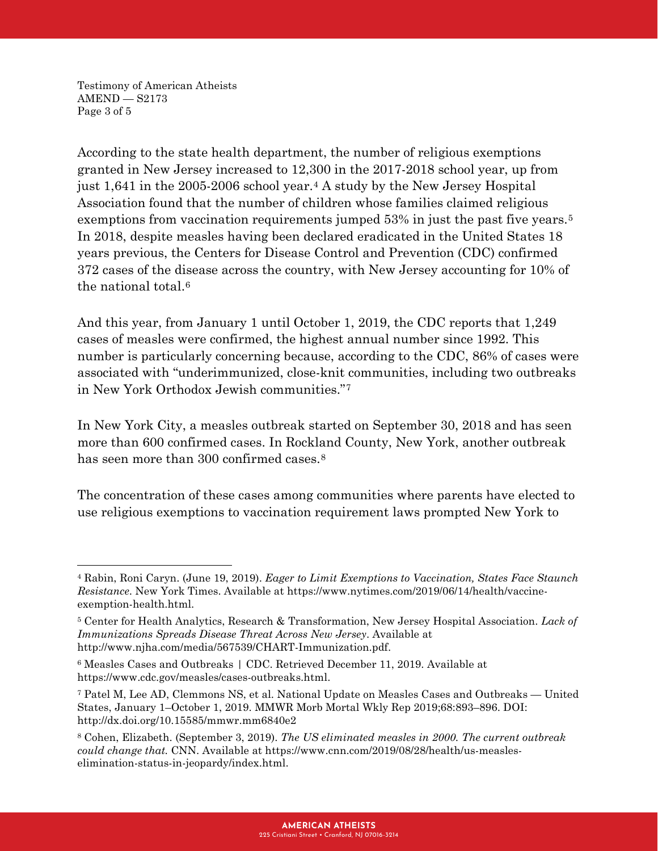Testimony of American Atheists AMEND — S2173 Page 3 of 5

 $\overline{\phantom{a}}$ 

According to the state health department, the number of religious exemptions granted in New Jersey increased to 12,300 in the 2017-2018 school year, up from just 1,641 in the 2005-2006 school year.[4](#page-2-0) A study by the New Jersey Hospital Association found that the number of children whose families claimed religious exemptions from vaccination requirements jumped [5](#page-2-1)3% in just the past five years.<sup>5</sup> In 2018, despite measles having been declared eradicated in the United States 18 years previous, the Centers for Disease Control and Prevention (CDC) confirmed 372 cases of the disease across the country, with New Jersey accounting for 10% of the national total.[6](#page-2-2)

And this year, from January 1 until October 1, 2019, the CDC reports that 1,249 cases of measles were confirmed, the highest annual number since 1992. This number is particularly concerning because, according to the CDC, 86% of cases were associated with "underimmunized, close-knit communities, including two outbreaks in New York Orthodox Jewish communities."[7](#page-2-3) 

In New York City, a measles outbreak started on September 30, 2018 and has seen more than 600 confirmed cases. In Rockland County, New York, another outbreak has seen more than 300 confirmed cases.<sup>[8](#page-2-4)</sup>

The concentration of these cases among communities where parents have elected to use religious exemptions to vaccination requirement laws prompted New York to

<span id="page-2-0"></span><sup>4</sup> Rabin, Roni Caryn. (June 19, 2019). *Eager to Limit Exemptions to Vaccination, States Face Staunch Resistance*. New York Times. Available at https://www.nytimes.com/2019/06/14/health/vaccineexemption-health.html.

<span id="page-2-1"></span><sup>5</sup> Center for Health Analytics, Research & Transformation, New Jersey Hospital Association. *Lack of Immunizations Spreads Disease Threat Across New Jersey*. Available at http://www.njha.com/media/567539/CHART-Immunization.pdf.

<span id="page-2-2"></span><sup>6</sup> Measles Cases and Outbreaks | CDC. Retrieved December 11, 2019. Available at https://www.cdc.gov/measles/cases-outbreaks.html.

<span id="page-2-3"></span><sup>7</sup> Patel M, Lee AD, Clemmons NS, et al. National Update on Measles Cases and Outbreaks — United States, January 1–October 1, 2019. MMWR Morb Mortal Wkly Rep 2019;68:893–896. DOI: http://dx.doi.org/10.15585/mmwr.mm6840e2

<span id="page-2-4"></span><sup>8</sup> Cohen, Elizabeth. (September 3, 2019). *The US eliminated measles in 2000. The current outbreak could change that.* CNN. Available at https://www.cnn.com/2019/08/28/health/us-measleselimination-status-in-jeopardy/index.html.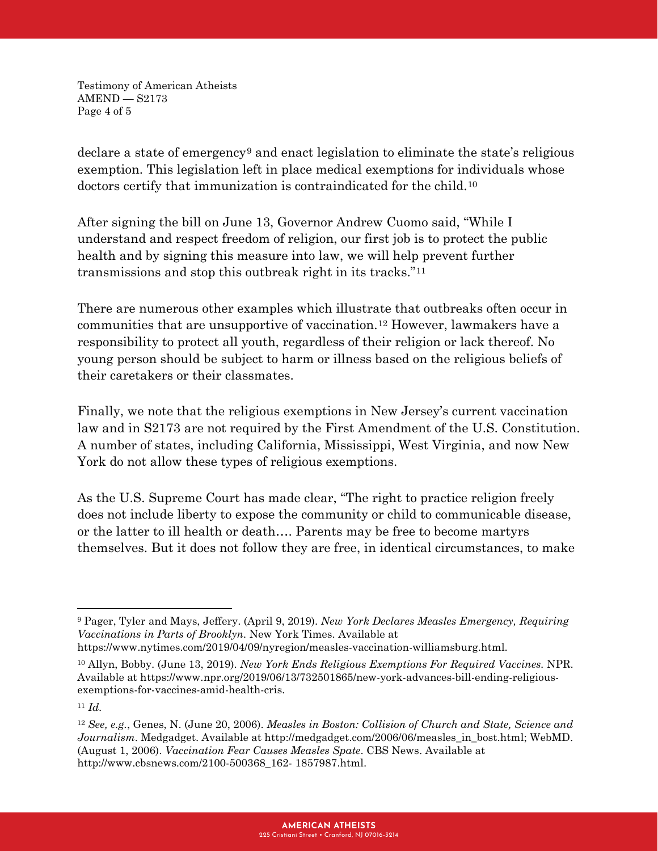Testimony of American Atheists AMEND — S2173 Page 4 of 5

declare a state of emergency[9](#page-3-0) and enact legislation to eliminate the state's religious exemption. This legislation left in place medical exemptions for individuals whose doctors certify that immunization is contraindicated for the child.<sup>[10](#page-3-1)</sup>

After signing the bill on June 13, Governor Andrew Cuomo said, "While I understand and respect freedom of religion, our first job is to protect the public health and by signing this measure into law, we will help prevent further transmissions and stop this outbreak right in its tracks."[11](#page-3-2)

There are numerous other examples which illustrate that outbreaks often occur in communities that are unsupportive of vaccination.[12](#page-3-3) However, lawmakers have a responsibility to protect all youth, regardless of their religion or lack thereof. No young person should be subject to harm or illness based on the religious beliefs of their caretakers or their classmates.

Finally, we note that the religious exemptions in New Jersey's current vaccination law and in S2173 are not required by the First Amendment of the U.S. Constitution. A number of states, including California, Mississippi, West Virginia, and now New York do not allow these types of religious exemptions.

As the U.S. Supreme Court has made clear, "The right to practice religion freely does not include liberty to expose the community or child to communicable disease, or the latter to ill health or death…. Parents may be free to become martyrs themselves. But it does not follow they are free, in identical circumstances, to make

l

<span id="page-3-0"></span><sup>9</sup> Pager, Tyler and Mays, Jeffery. (April 9, 2019). *New York Declares Measles Emergency, Requiring Vaccinations in Parts of Brooklyn.* New York Times. Available at

https://www.nytimes.com/2019/04/09/nyregion/measles-vaccination-williamsburg.html.

<span id="page-3-1"></span><sup>10</sup> Allyn, Bobby. (June 13, 2019). *New York Ends Religious Exemptions For Required Vaccines.* NPR. Available at https://www.npr.org/2019/06/13/732501865/new-york-advances-bill-ending-religiousexemptions-for-vaccines-amid-health-cris.

<span id="page-3-2"></span><sup>11</sup> *Id.*

<span id="page-3-3"></span><sup>12</sup> *See, e.g.*, Genes, N. (June 20, 2006). *Measles in Boston: Collision of Church and State, Science and Journalism*. Medgadget. Available at http://medgadget.com/2006/06/measles\_in\_bost.html; WebMD. (August 1, 2006). *Vaccination Fear Causes Measles Spate*. CBS News. Available at http://www.cbsnews.com/2100-500368\_162- 1857987.html.